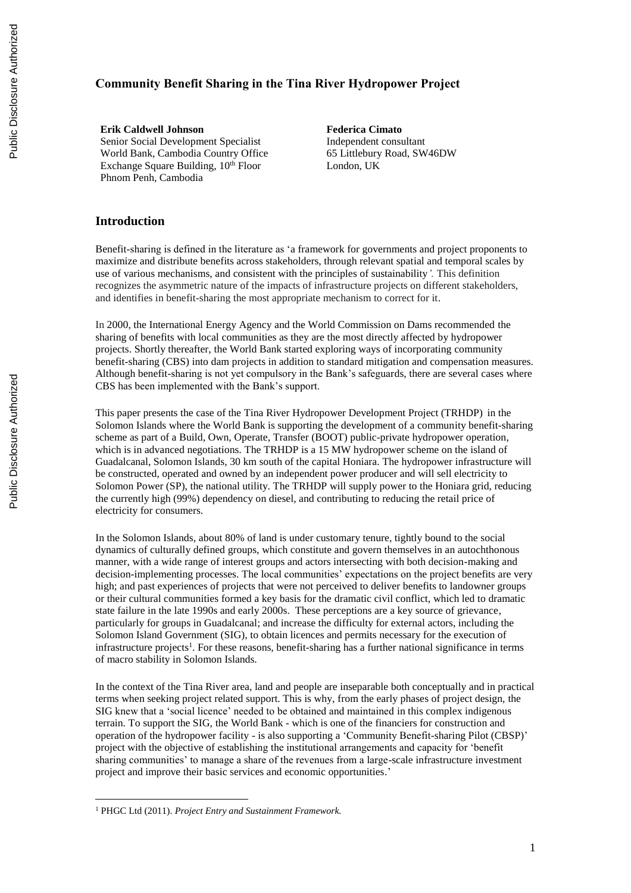# **Community Benefit Sharing in the Tina River Hydropower Project**

**Erik Caldwell Johnson** Senior Social Development Specialist World Bank, Cambodia Country Office Exchange Square Building,  $10<sup>th</sup>$  Floor Phnom Penh, Cambodia

**Federica Cimato** Independent consultant 65 Littlebury Road, SW46DW London, UK

# **Introduction**

Benefit-sharing is defined in the literature as 'a framework for governments and project proponents to maximize and distribute benefits across stakeholders, through relevant spatial and temporal scales by use of various mechanisms, and consistent with the principles of sustainability*'.* This definition recognizes the asymmetric nature of the impacts of infrastructure projects on different stakeholders, and identifies in benefit-sharing the most appropriate mechanism to correct for it.

In 2000, the International Energy Agency and the World Commission on Dams recommended the sharing of benefits with local communities as they are the most directly affected by hydropower projects. Shortly thereafter, the World Bank started exploring ways of incorporating community benefit-sharing (CBS) into dam projects in addition to standard mitigation and compensation measures. Although benefit-sharing is not yet compulsory in the Bank's safeguards, there are several cases where CBS has been implemented with the Bank's support.

This paper presents the case of the Tina River Hydropower Development Project (TRHDP) in the Solomon Islands where the World Bank is supporting the development of a community benefit-sharing scheme as part of a Build, Own, Operate, Transfer (BOOT) public-private hydropower operation, which is in advanced negotiations. The TRHDP is a 15 MW hydropower scheme on the island of Guadalcanal, Solomon Islands, 30 km south of the capital Honiara. The hydropower infrastructure will be constructed, operated and owned by an independent power producer and will sell electricity to Solomon Power (SP), the national utility. The TRHDP will supply power to the Honiara grid, reducing the currently high (99%) dependency on diesel, and contributing to reducing the retail price of electricity for consumers.

In the Solomon Islands, about 80% of land is under customary tenure, tightly bound to the social dynamics of culturally defined groups, which constitute and govern themselves in an autochthonous manner, with a wide range of interest groups and actors intersecting with both decision-making and decision-implementing processes. The local communities' expectations on the project benefits are very high; and past experiences of projects that were not perceived to deliver benefits to landowner groups or their cultural communities formed a key basis for the dramatic civil conflict, which led to dramatic state failure in the late 1990s and early 2000s. These perceptions are a key source of grievance, particularly for groups in Guadalcanal; and increase the difficulty for external actors, including the Solomon Island Government (SIG), to obtain licences and permits necessary for the execution of infrastructure projects<sup>1</sup>. For these reasons, benefit-sharing has a further national significance in terms of macro stability in Solomon Islands.

In the context of the Tina River area, land and people are inseparable both conceptually and in practical terms when seeking project related support. This is why, from the early phases of project design, the SIG knew that a 'social licence' needed to be obtained and maintained in this complex indigenous terrain. To support the SIG, the World Bank - which is one of the financiers for construction and operation of the hydropower facility - is also supporting a 'Community Benefit-sharing Pilot (CBSP)' project with the objective of establishing the institutional arrangements and capacity for 'benefit sharing communities' to manage a share of the revenues from a large-scale infrastructure investment project and improve their basic services and economic opportunities.'

<sup>1</sup> PHGC Ltd (2011). *Project Entry and Sustainment Framework.*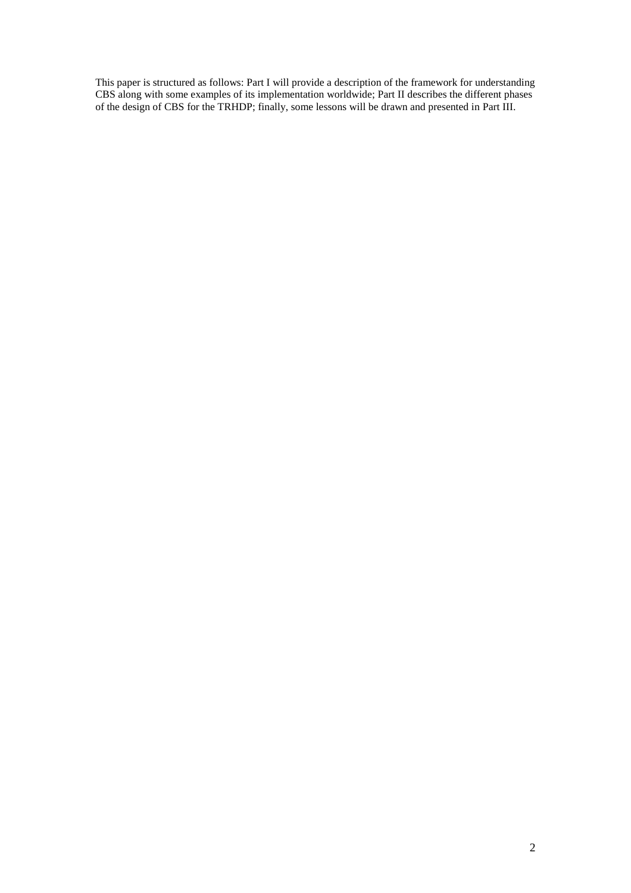This paper is structured as follows: Part I will provide a description of the framework for understanding CBS along with some examples of its implementation worldwide; Part II describes the different phases of the design of CBS for the TRHDP; finally, some lessons will be drawn and presented in Part III.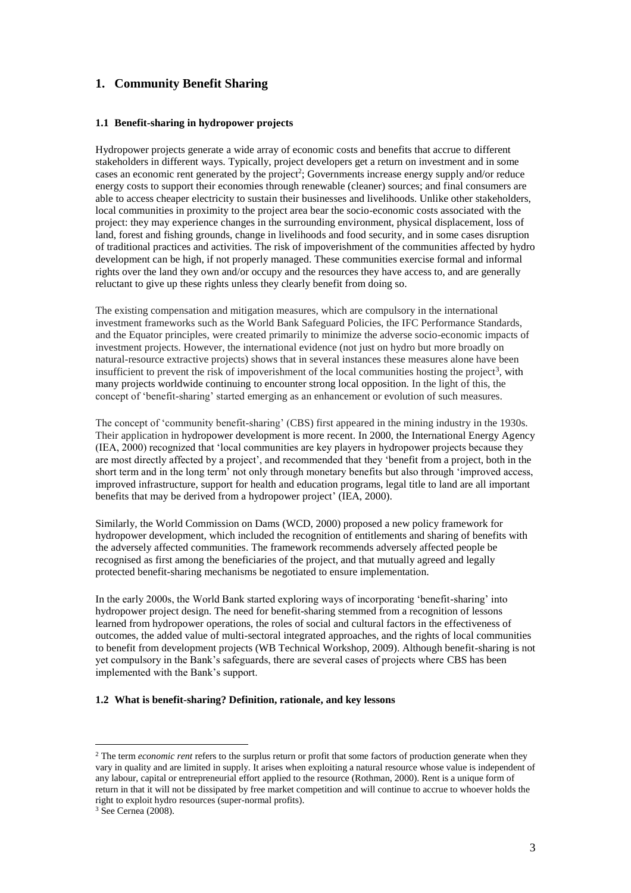# **1. Community Benefit Sharing**

# **1.1 Benefit-sharing in hydropower projects**

Hydropower projects generate a wide array of economic costs and benefits that accrue to different stakeholders in different ways. Typically, project developers get a return on investment and in some cases an economic rent generated by the project<sup>2</sup>; Governments increase energy supply and/or reduce energy costs to support their economies through renewable (cleaner) sources; and final consumers are able to access cheaper electricity to sustain their businesses and livelihoods. Unlike other stakeholders, local communities in proximity to the project area bear the socio-economic costs associated with the project: they may experience changes in the surrounding environment, physical displacement, loss of land, forest and fishing grounds, change in livelihoods and food security, and in some cases disruption of traditional practices and activities. The risk of impoverishment of the communities affected by hydro development can be high, if not properly managed. These communities exercise formal and informal rights over the land they own and/or occupy and the resources they have access to, and are generally reluctant to give up these rights unless they clearly benefit from doing so.

The existing compensation and mitigation measures, which are compulsory in the international investment frameworks such as the World Bank Safeguard Policies, the IFC Performance Standards, and the Equator principles, were created primarily to minimize the adverse socio-economic impacts of investment projects. However, the international evidence (not just on hydro but more broadly on natural-resource extractive projects) shows that in several instances these measures alone have been insufficient to prevent the risk of impoverishment of the local communities hosting the project<sup>3</sup>, with many projects worldwide continuing to encounter strong local opposition. In the light of this, the concept of 'benefit-sharing' started emerging as an enhancement or evolution of such measures.

The concept of 'community benefit-sharing' (CBS) first appeared in the mining industry in the 1930s. Their application in hydropower development is more recent. In 2000, the International Energy Agency (IEA, 2000) recognized that 'local communities are key players in hydropower projects because they are most directly affected by a project', and recommended that they 'benefit from a project, both in the short term and in the long term' not only through monetary benefits but also through 'improved access, improved infrastructure, support for health and education programs, legal title to land are all important benefits that may be derived from a hydropower project' (IEA, 2000).

Similarly, the World Commission on Dams (WCD, 2000) proposed a new policy framework for hydropower development, which included the recognition of entitlements and sharing of benefits with the adversely affected communities. The framework recommends adversely affected people be recognised as first among the beneficiaries of the project, and that mutually agreed and legally protected benefit-sharing mechanisms be negotiated to ensure implementation.

In the early 2000s, the World Bank started exploring ways of incorporating 'benefit-sharing' into hydropower project design. The need for benefit-sharing stemmed from a recognition of lessons learned from hydropower operations, the roles of social and cultural factors in the effectiveness of outcomes, the added value of multi-sectoral integrated approaches, and the rights of local communities to benefit from development projects (WB Technical Workshop, 2009). Although benefit-sharing is not yet compulsory in the Bank's safeguards, there are several cases of projects where CBS has been implemented with the Bank's support.

#### **1.2 What is benefit-sharing? Definition, rationale, and key lessons**

<sup>2</sup> The term *economic rent* refers to the surplus return or profit that some factors of production generate when they vary in quality and are limited in supply. It arises when exploiting a natural resource whose value is independent of any labour, capital or entrepreneurial effort applied to the resource (Rothman, 2000). Rent is a unique form of return in that it will not be dissipated by free market competition and will continue to accrue to whoever holds the right to exploit hydro resources (super-normal profits).

<sup>3</sup> See Cernea (2008).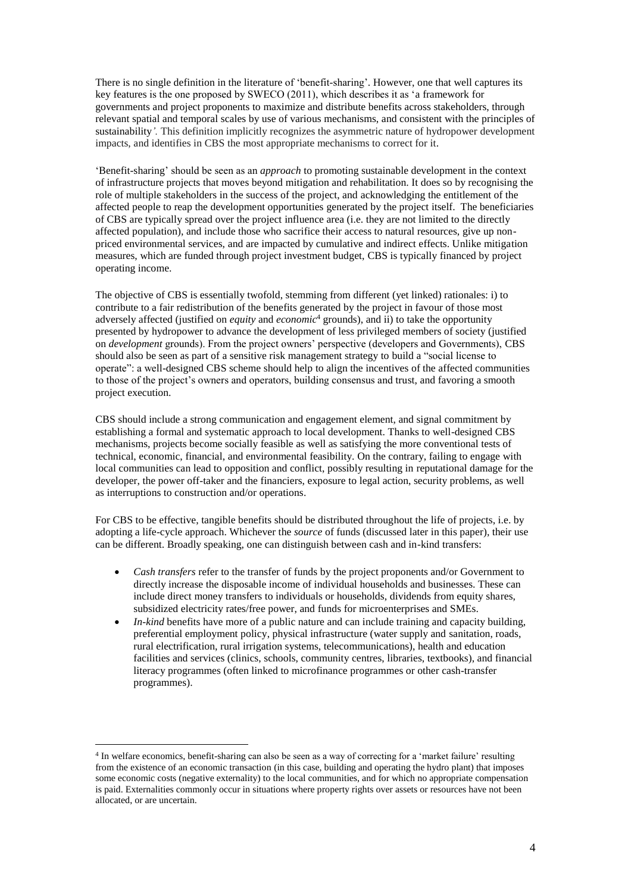There is no single definition in the literature of 'benefit-sharing'. However, one that well captures its key features is the one proposed by SWECO (2011), which describes it as 'a framework for governments and project proponents to maximize and distribute benefits across stakeholders, through relevant spatial and temporal scales by use of various mechanisms, and consistent with the principles of sustainability*'.* This definition implicitly recognizes the asymmetric nature of hydropower development impacts, and identifies in CBS the most appropriate mechanisms to correct for it.

'Benefit-sharing' should be seen as an *approach* to promoting sustainable development in the context of infrastructure projects that moves beyond mitigation and rehabilitation. It does so by recognising the role of multiple stakeholders in the success of the project, and acknowledging the entitlement of the affected people to reap the development opportunities generated by the project itself. The beneficiaries of CBS are typically spread over the project influence area (i.e. they are not limited to the directly affected population), and include those who sacrifice their access to natural resources, give up nonpriced environmental services, and are impacted by cumulative and indirect effects. Unlike mitigation measures, which are funded through project investment budget, CBS is typically financed by project operating income.

The objective of CBS is essentially twofold, stemming from different (yet linked) rationales: i) to contribute to a fair redistribution of the benefits generated by the project in favour of those most adversely affected (justified on *equity* and *economic*<sup>4</sup> grounds), and ii) to take the opportunity presented by hydropower to advance the development of less privileged members of society (justified on *development* grounds). From the project owners' perspective (developers and Governments), CBS should also be seen as part of a sensitive risk management strategy to build a "social license to operate": a well-designed CBS scheme should help to align the incentives of the affected communities to those of the project's owners and operators, building consensus and trust, and favoring a smooth project execution.

CBS should include a strong communication and engagement element, and signal commitment by establishing a formal and systematic approach to local development. Thanks to well-designed CBS mechanisms, projects become socially feasible as well as satisfying the more conventional tests of technical, economic, financial, and environmental feasibility. On the contrary, failing to engage with local communities can lead to opposition and conflict, possibly resulting in reputational damage for the developer, the power off-taker and the financiers, exposure to legal action, security problems, as well as interruptions to construction and/or operations.

For CBS to be effective, tangible benefits should be distributed throughout the life of projects, i.e. by adopting a life-cycle approach. Whichever the *source* of funds (discussed later in this paper), their use can be different. Broadly speaking, one can distinguish between cash and in-kind transfers:

- *Cash transfers* refer to the transfer of funds by the project proponents and/or Government to directly increase the disposable income of individual households and businesses. These can include direct money transfers to individuals or households, dividends from equity shares, subsidized electricity rates/free power, and funds for microenterprises and SMEs.
- *In-kind* benefits have more of a public nature and can include training and capacity building, preferential employment policy, physical infrastructure (water supply and sanitation, roads, rural electrification, rural irrigation systems, telecommunications), health and education facilities and services (clinics, schools, community centres, libraries, textbooks), and financial literacy programmes (often linked to microfinance programmes or other cash-transfer programmes).

<sup>4</sup> In welfare economics, benefit-sharing can also be seen as a way of correcting for a 'market failure' resulting from the existence of an economic transaction (in this case, building and operating the hydro plant) that imposes some economic costs (negative externality) to the local communities, and for which no appropriate compensation is paid. Externalities commonly occur in situations where property rights over assets or resources have not been allocated, or are uncertain.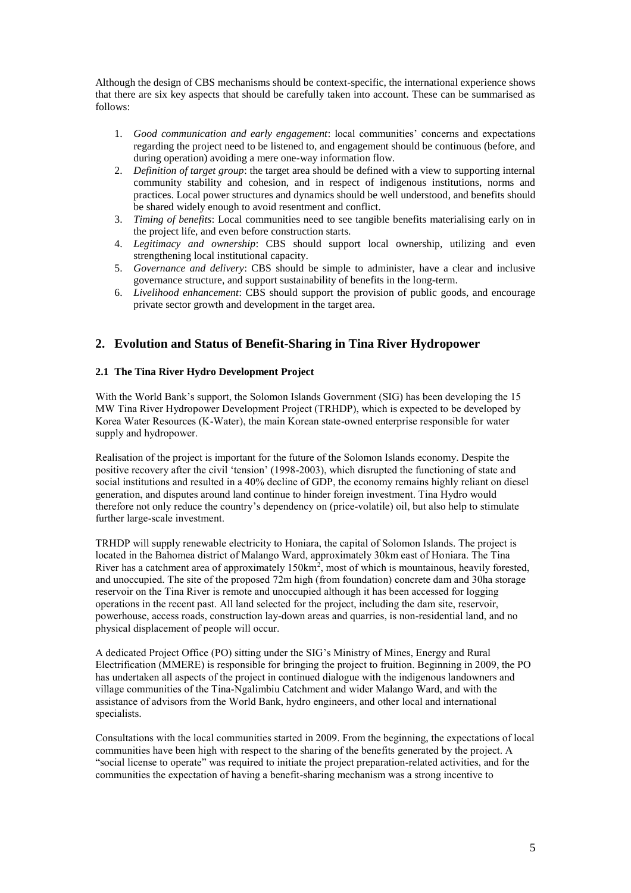Although the design of CBS mechanisms should be context-specific, the international experience shows that there are six key aspects that should be carefully taken into account. These can be summarised as follows:

- 1. *Good communication and early engagement*: local communities' concerns and expectations regarding the project need to be listened to, and engagement should be continuous (before, and during operation) avoiding a mere one-way information flow.
- 2. *Definition of target group*: the target area should be defined with a view to supporting internal community stability and cohesion, and in respect of indigenous institutions, norms and practices. Local power structures and dynamics should be well understood, and benefits should be shared widely enough to avoid resentment and conflict.
- 3. *Timing of benefits*: Local communities need to see tangible benefits materialising early on in the project life, and even before construction starts.
- 4. *Legitimacy and ownership*: CBS should support local ownership, utilizing and even strengthening local institutional capacity.
- 5. *Governance and delivery*: CBS should be simple to administer, have a clear and inclusive governance structure, and support sustainability of benefits in the long-term.
- 6. *Livelihood enhancement*: CBS should support the provision of public goods, and encourage private sector growth and development in the target area.

# **2. Evolution and Status of Benefit-Sharing in Tina River Hydropower**

# **2.1 The Tina River Hydro Development Project**

With the World Bank's support, the Solomon Islands Government (SIG) has been developing the 15 MW Tina River Hydropower Development Project (TRHDP), which is expected to be developed by Korea Water Resources (K-Water), the main Korean state-owned enterprise responsible for water supply and hydropower.

Realisation of the project is important for the future of the Solomon Islands economy. Despite the positive recovery after the civil 'tension' (1998-2003), which disrupted the functioning of state and social institutions and resulted in a 40% decline of GDP, the economy remains highly reliant on diesel generation, and disputes around land continue to hinder foreign investment. Tina Hydro would therefore not only reduce the country's dependency on (price-volatile) oil, but also help to stimulate further large-scale investment.

TRHDP will supply renewable electricity to Honiara, the capital of Solomon Islands. The project is located in the Bahomea district of Malango Ward, approximately 30km east of Honiara. The Tina River has a catchment area of approximately 150km<sup>2</sup>, most of which is mountainous, heavily forested, and unoccupied. The site of the proposed 72m high (from foundation) concrete dam and 30ha storage reservoir on the Tina River is remote and unoccupied although it has been accessed for logging operations in the recent past. All land selected for the project, including the dam site, reservoir, powerhouse, access roads, construction lay-down areas and quarries, is non-residential land, and no physical displacement of people will occur.

A dedicated Project Office (PO) sitting under the SIG's Ministry of Mines, Energy and Rural Electrification (MMERE) is responsible for bringing the project to fruition. Beginning in 2009, the PO has undertaken all aspects of the project in continued dialogue with the indigenous landowners and village communities of the Tina-Ngalimbiu Catchment and wider Malango Ward, and with the assistance of advisors from the World Bank, hydro engineers, and other local and international specialists.

Consultations with the local communities started in 2009. From the beginning, the expectations of local communities have been high with respect to the sharing of the benefits generated by the project. A "social license to operate" was required to initiate the project preparation-related activities, and for the communities the expectation of having a benefit-sharing mechanism was a strong incentive to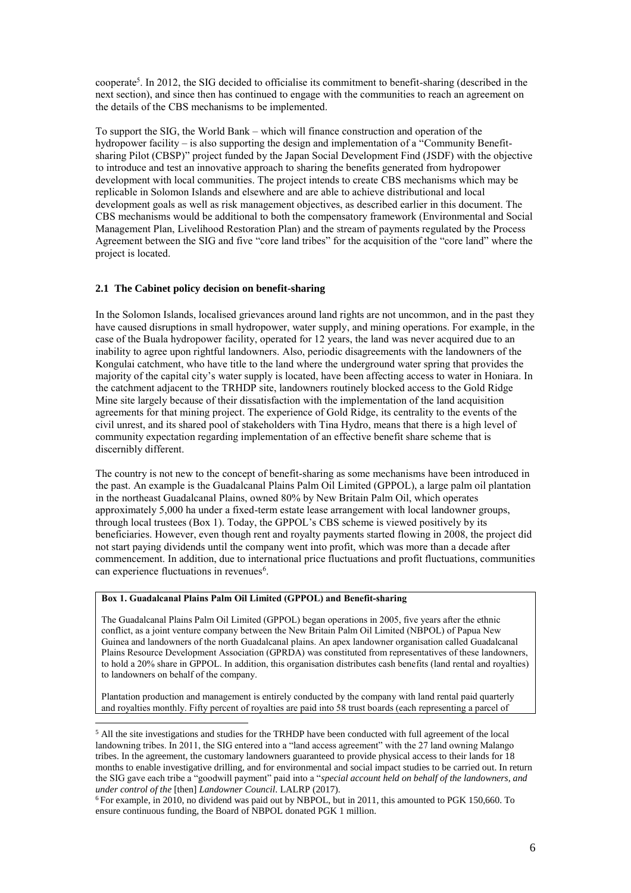cooperate<sup>5</sup>. In 2012, the SIG decided to officialise its commitment to benefit-sharing (described in the next section), and since then has continued to engage with the communities to reach an agreement on the details of the CBS mechanisms to be implemented.

To support the SIG, the World Bank – which will finance construction and operation of the hydropower facility – is also supporting the design and implementation of a "Community Benefitsharing Pilot (CBSP)" project funded by the Japan Social Development Find (JSDF) with the objective to introduce and test an innovative approach to sharing the benefits generated from hydropower development with local communities. The project intends to create CBS mechanisms which may be replicable in Solomon Islands and elsewhere and are able to achieve distributional and local development goals as well as risk management objectives, as described earlier in this document. The CBS mechanisms would be additional to both the compensatory framework (Environmental and Social Management Plan, Livelihood Restoration Plan) and the stream of payments regulated by the Process Agreement between the SIG and five "core land tribes" for the acquisition of the "core land" where the project is located.

# **2.1 The Cabinet policy decision on benefit-sharing**

In the Solomon Islands, localised grievances around land rights are not uncommon, and in the past they have caused disruptions in small hydropower, water supply, and mining operations. For example, in the case of the Buala hydropower facility, operated for 12 years, the land was never acquired due to an inability to agree upon rightful landowners. Also, periodic disagreements with the landowners of the Kongulai catchment, who have title to the land where the underground water spring that provides the majority of the capital city's water supply is located, have been affecting access to water in Honiara. In the catchment adjacent to the TRHDP site, landowners routinely blocked access to the Gold Ridge Mine site largely because of their dissatisfaction with the implementation of the land acquisition agreements for that mining project. The experience of Gold Ridge, its centrality to the events of the civil unrest, and its shared pool of stakeholders with Tina Hydro, means that there is a high level of community expectation regarding implementation of an effective benefit share scheme that is discernibly different.

The country is not new to the concept of benefit-sharing as some mechanisms have been introduced in the past. An example is the Guadalcanal Plains Palm Oil Limited (GPPOL), a large palm oil plantation in the northeast Guadalcanal Plains, owned 80% by New Britain Palm Oil, which operates approximately 5,000 ha under a fixed-term estate lease arrangement with local landowner groups, through local trustees (Box 1). Today, the GPPOL's CBS scheme is viewed positively by its beneficiaries. However, even though rent and royalty payments started flowing in 2008, the project did not start paying dividends until the company went into profit, which was more than a decade after commencement. In addition, due to international price fluctuations and profit fluctuations, communities can experience fluctuations in revenues<sup>6</sup>.

### **Box 1. Guadalcanal Plains Palm Oil Limited (GPPOL) and Benefit-sharing**

 $\overline{a}$ 

The Guadalcanal Plains Palm Oil Limited (GPPOL) began operations in 2005, five years after the ethnic conflict, as a joint venture company between the New Britain Palm Oil Limited (NBPOL) of Papua New Guinea and landowners of the north Guadalcanal plains. An apex landowner organisation called Guadalcanal Plains Resource Development Association (GPRDA) was constituted from representatives of these landowners, to hold a 20% share in GPPOL. In addition, this organisation distributes cash benefits (land rental and royalties) to landowners on behalf of the company.

Plantation production and management is entirely conducted by the company with land rental paid quarterly and royalties monthly. Fifty percent of royalties are paid into 58 trust boards (each representing a parcel of

<sup>5</sup> All the site investigations and studies for the TRHDP have been conducted with full agreement of the local landowning tribes. In 2011, the SIG entered into a "land access agreement" with the 27 land owning Malango tribes. In the agreement, the customary landowners guaranteed to provide physical access to their lands for 18 months to enable investigative drilling, and for environmental and social impact studies to be carried out. In return the SIG gave each tribe a "goodwill payment" paid into a "*special account held on behalf of the landowners, and under control of the* [then] *Landowner Council*. LALRP (2017).

<sup>6</sup> For example, in 2010, no dividend was paid out by NBPOL, but in 2011, this amounted to PGK 150,660. To ensure continuous funding, the Board of NBPOL donated PGK 1 million.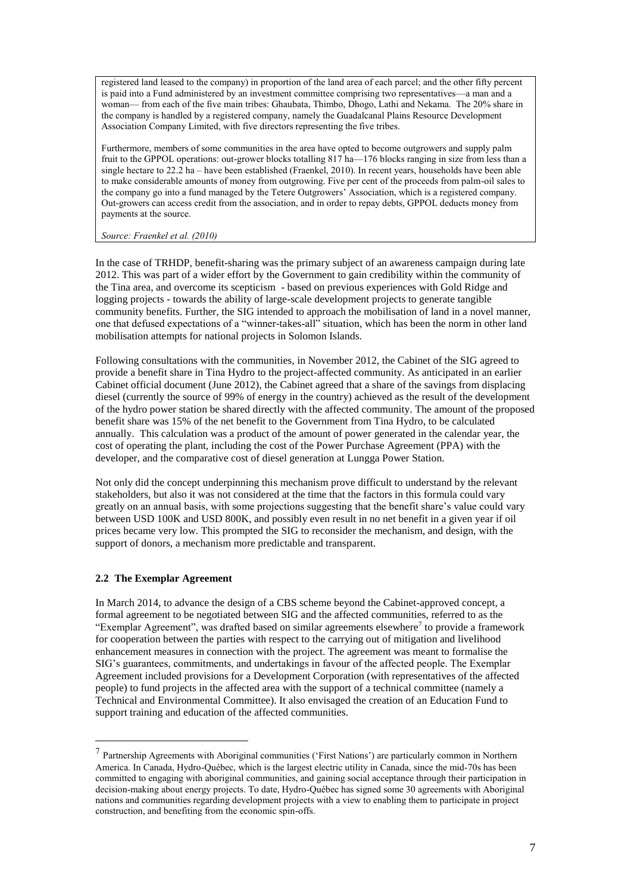registered land leased to the company) in proportion of the land area of each parcel; and the other fifty percent is paid into a Fund administered by an investment committee comprising two representatives—a man and a woman— from each of the five main tribes: Ghaubata, Thimbo, Dhogo, Lathi and Nekama. The 20% share in the company is handled by a registered company, namely the Guadalcanal Plains Resource Development Association Company Limited, with five directors representing the five tribes.

Furthermore, members of some communities in the area have opted to become outgrowers and supply palm fruit to the GPPOL operations: out-grower blocks totalling 817 ha—176 blocks ranging in size from less than a single hectare to 22.2 ha – have been established (Fraenkel, 2010). In recent years, households have been able to make considerable amounts of money from outgrowing. Five per cent of the proceeds from palm-oil sales to the company go into a fund managed by the Tetere Outgrowers' Association, which is a registered company. Out-growers can access credit from the association, and in order to repay debts, GPPOL deducts money from payments at the source.

#### *Source: Fraenkel et al. (2010)*

In the case of TRHDP, benefit-sharing was the primary subject of an awareness campaign during late 2012. This was part of a wider effort by the Government to gain credibility within the community of the Tina area, and overcome its scepticism - based on previous experiences with Gold Ridge and logging projects - towards the ability of large-scale development projects to generate tangible community benefits. Further, the SIG intended to approach the mobilisation of land in a novel manner, one that defused expectations of a "winner-takes-all" situation, which has been the norm in other land mobilisation attempts for national projects in Solomon Islands.

Following consultations with the communities, in November 2012, the Cabinet of the SIG agreed to provide a benefit share in Tina Hydro to the project-affected community. As anticipated in an earlier Cabinet official document (June 2012), the Cabinet agreed that a share of the savings from displacing diesel (currently the source of 99% of energy in the country) achieved as the result of the development of the hydro power station be shared directly with the affected community. The amount of the proposed benefit share was 15% of the net benefit to the Government from Tina Hydro, to be calculated annually. This calculation was a product of the amount of power generated in the calendar year, the cost of operating the plant, including the cost of the Power Purchase Agreement (PPA) with the developer, and the comparative cost of diesel generation at Lungga Power Station.

Not only did the concept underpinning this mechanism prove difficult to understand by the relevant stakeholders, but also it was not considered at the time that the factors in this formula could vary greatly on an annual basis, with some projections suggesting that the benefit share's value could vary between USD 100K and USD 800K, and possibly even result in no net benefit in a given year if oil prices became very low. This prompted the SIG to reconsider the mechanism, and design, with the support of donors, a mechanism more predictable and transparent.

# **2.2 The Exemplar Agreement**

 $\overline{a}$ 

In March 2014, to advance the design of a CBS scheme beyond the Cabinet-approved concept, a formal agreement to be negotiated between SIG and the affected communities, referred to as the "Exemplar Agreement", was drafted based on similar agreements elsewhere<sup>7</sup> to provide a framework for cooperation between the parties with respect to the carrying out of mitigation and livelihood enhancement measures in connection with the project. The agreement was meant to formalise the SIG's guarantees, commitments, and undertakings in favour of the affected people. The Exemplar Agreement included provisions for a Development Corporation (with representatives of the affected people) to fund projects in the affected area with the support of a technical committee (namely a Technical and Environmental Committee). It also envisaged the creation of an Education Fund to support training and education of the affected communities.

<sup>&</sup>lt;sup>7</sup> Partnership Agreements with Aboriginal communities ('First Nations') are particularly common in Northern America. In Canada, Hydro-Québec, which is the largest electric utility in Canada, since the mid-70s has been committed to engaging with aboriginal communities, and gaining social acceptance through their participation in decision-making about energy projects. To date, Hydro-Québec has signed some 30 agreements with Aboriginal nations and communities regarding development projects with a view to enabling them to participate in project construction, and benefiting from the economic spin-offs.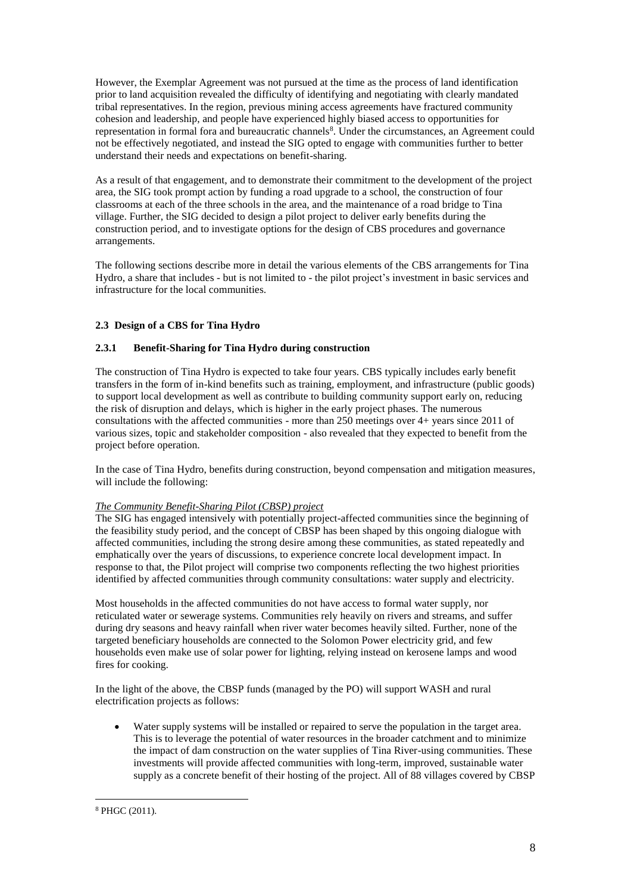However, the Exemplar Agreement was not pursued at the time as the process of land identification prior to land acquisition revealed the difficulty of identifying and negotiating with clearly mandated tribal representatives. In the region, previous mining access agreements have fractured community cohesion and leadership, and people have experienced highly biased access to opportunities for representation in formal fora and bureaucratic channels<sup>8</sup>. Under the circumstances, an Agreement could not be effectively negotiated, and instead the SIG opted to engage with communities further to better understand their needs and expectations on benefit-sharing.

As a result of that engagement, and to demonstrate their commitment to the development of the project area, the SIG took prompt action by funding a road upgrade to a school, the construction of four classrooms at each of the three schools in the area, and the maintenance of a road bridge to Tina village. Further, the SIG decided to design a pilot project to deliver early benefits during the construction period, and to investigate options for the design of CBS procedures and governance arrangements.

The following sections describe more in detail the various elements of the CBS arrangements for Tina Hydro, a share that includes - but is not limited to - the pilot project's investment in basic services and infrastructure for the local communities.

# **2.3 Design of a CBS for Tina Hydro**

# **2.3.1 Benefit-Sharing for Tina Hydro during construction**

The construction of Tina Hydro is expected to take four years. CBS typically includes early benefit transfers in the form of in-kind benefits such as training, employment, and infrastructure (public goods) to support local development as well as contribute to building community support early on, reducing the risk of disruption and delays, which is higher in the early project phases. The numerous consultations with the affected communities - more than 250 meetings over 4+ years since 2011 of various sizes, topic and stakeholder composition - also revealed that they expected to benefit from the project before operation.

In the case of Tina Hydro, benefits during construction, beyond compensation and mitigation measures, will include the following:

# *The Community Benefit-Sharing Pilot (CBSP) project*

The SIG has engaged intensively with potentially project-affected communities since the beginning of the feasibility study period, and the concept of CBSP has been shaped by this ongoing dialogue with affected communities, including the strong desire among these communities, as stated repeatedly and emphatically over the years of discussions, to experience concrete local development impact. In response to that, the Pilot project will comprise two components reflecting the two highest priorities identified by affected communities through community consultations: water supply and electricity.

Most households in the affected communities do not have access to formal water supply, nor reticulated water or sewerage systems. Communities rely heavily on rivers and streams, and suffer during dry seasons and heavy rainfall when river water becomes heavily silted. Further, none of the targeted beneficiary households are connected to the Solomon Power electricity grid, and few households even make use of solar power for lighting, relying instead on kerosene lamps and wood fires for cooking.

In the light of the above, the CBSP funds (managed by the PO) will support WASH and rural electrification projects as follows:

 Water supply systems will be installed or repaired to serve the population in the target area. This is to leverage the potential of water resources in the broader catchment and to minimize the impact of dam construction on the water supplies of Tina River-using communities. These investments will provide affected communities with long-term, improved, sustainable water supply as a concrete benefit of their hosting of the project. All of 88 villages covered by CBSP

 $\overline{a}$ <sup>8</sup> PHGC (2011).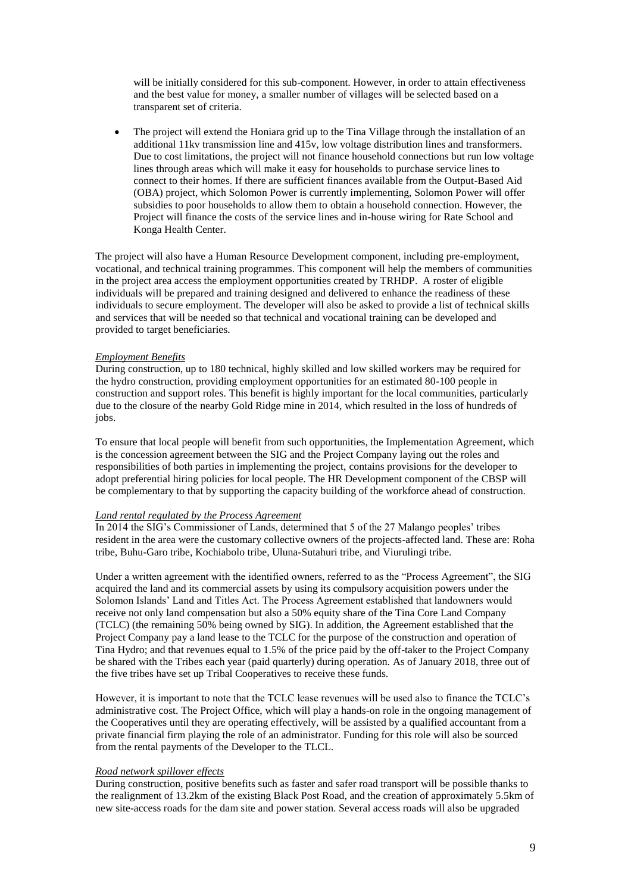will be initially considered for this sub-component. However, in order to attain effectiveness and the best value for money, a smaller number of villages will be selected based on a transparent set of criteria.

 The project will extend the Honiara grid up to the Tina Village through the installation of an additional 11kv transmission line and 415v, low voltage distribution lines and transformers. Due to cost limitations, the project will not finance household connections but run low voltage lines through areas which will make it easy for households to purchase service lines to connect to their homes. If there are sufficient finances available from the Output-Based Aid (OBA) project, which Solomon Power is currently implementing, Solomon Power will offer subsidies to poor households to allow them to obtain a household connection. However, the Project will finance the costs of the service lines and in-house wiring for Rate School and Konga Health Center.

The project will also have a Human Resource Development component, including pre-employment, vocational, and technical training programmes. This component will help the members of communities in the project area access the employment opportunities created by TRHDP. A roster of eligible individuals will be prepared and training designed and delivered to enhance the readiness of these individuals to secure employment. The developer will also be asked to provide a list of technical skills and services that will be needed so that technical and vocational training can be developed and provided to target beneficiaries.

### *Employment Benefits*

During construction, up to 180 technical, highly skilled and low skilled workers may be required for the hydro construction, providing employment opportunities for an estimated 80-100 people in construction and support roles. This benefit is highly important for the local communities, particularly due to the closure of the nearby Gold Ridge mine in 2014, which resulted in the loss of hundreds of jobs.

To ensure that local people will benefit from such opportunities, the Implementation Agreement, which is the concession agreement between the SIG and the Project Company laying out the roles and responsibilities of both parties in implementing the project, contains provisions for the developer to adopt preferential hiring policies for local people. The HR Development component of the CBSP will be complementary to that by supporting the capacity building of the workforce ahead of construction.

### *Land rental regulated by the Process Agreement*

In 2014 the SIG's Commissioner of Lands, determined that 5 of the 27 Malango peoples' tribes resident in the area were the customary collective owners of the projects-affected land. These are: Roha tribe, Buhu-Garo tribe, Kochiabolo tribe, Uluna-Sutahuri tribe, and Viurulingi tribe.

Under a written agreement with the identified owners, referred to as the "Process Agreement", the SIG acquired the land and its commercial assets by using its compulsory acquisition powers under the Solomon Islands' Land and Titles Act. The Process Agreement established that landowners would receive not only land compensation but also a 50% equity share of the Tina Core Land Company (TCLC) (the remaining 50% being owned by SIG). In addition, the Agreement established that the Project Company pay a land lease to the TCLC for the purpose of the construction and operation of Tina Hydro; and that revenues equal to 1.5% of the price paid by the off-taker to the Project Company be shared with the Tribes each year (paid quarterly) during operation. As of January 2018, three out of the five tribes have set up Tribal Cooperatives to receive these funds.

However, it is important to note that the TCLC lease revenues will be used also to finance the TCLC's administrative cost. The Project Office, which will play a hands-on role in the ongoing management of the Cooperatives until they are operating effectively, will be assisted by a qualified accountant from a private financial firm playing the role of an administrator. Funding for this role will also be sourced from the rental payments of the Developer to the TLCL.

#### *Road network spillover effects*

During construction, positive benefits such as faster and safer road transport will be possible thanks to the realignment of 13.2km of the existing Black Post Road, and the creation of approximately 5.5km of new site-access roads for the dam site and power station. Several access roads will also be upgraded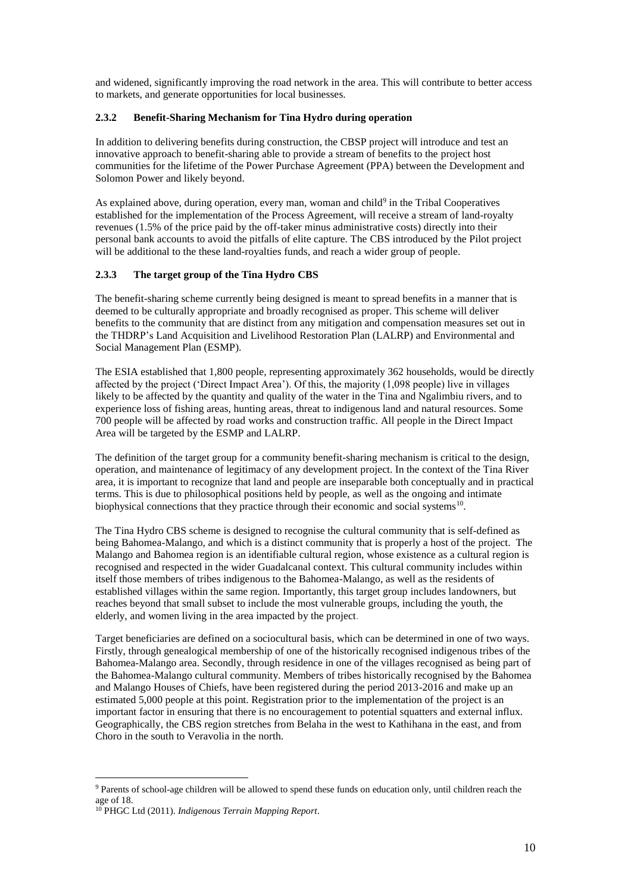and widened, significantly improving the road network in the area. This will contribute to better access to markets, and generate opportunities for local businesses.

# **2.3.2 Benefit-Sharing Mechanism for Tina Hydro during operation**

In addition to delivering benefits during construction, the CBSP project will introduce and test an innovative approach to benefit-sharing able to provide a stream of benefits to the project host communities for the lifetime of the Power Purchase Agreement (PPA) between the Development and Solomon Power and likely beyond.

As explained above, during operation, every man, woman and child<sup>9</sup> in the Tribal Cooperatives established for the implementation of the Process Agreement, will receive a stream of land-royalty revenues (1.5% of the price paid by the off-taker minus administrative costs) directly into their personal bank accounts to avoid the pitfalls of elite capture. The CBS introduced by the Pilot project will be additional to the these land-royalties funds, and reach a wider group of people.

# **2.3.3 The target group of the Tina Hydro CBS**

The benefit-sharing scheme currently being designed is meant to spread benefits in a manner that is deemed to be culturally appropriate and broadly recognised as proper. This scheme will deliver benefits to the community that are distinct from any mitigation and compensation measures set out in the THDRP's Land Acquisition and Livelihood Restoration Plan (LALRP) and Environmental and Social Management Plan (ESMP).

The ESIA established that 1,800 people, representing approximately 362 households, would be directly affected by the project ('Direct Impact Area'). Of this, the majority (1,098 people) live in villages likely to be affected by the quantity and quality of the water in the Tina and Ngalimbiu rivers, and to experience loss of fishing areas, hunting areas, threat to indigenous land and natural resources. Some 700 people will be affected by road works and construction traffic. All people in the Direct Impact Area will be targeted by the ESMP and LALRP.

The definition of the target group for a community benefit-sharing mechanism is critical to the design, operation, and maintenance of legitimacy of any development project. In the context of the Tina River area, it is important to recognize that land and people are inseparable both conceptually and in practical terms. This is due to philosophical positions held by people, as well as the ongoing and intimate biophysical connections that they practice through their economic and social systems<sup>10</sup>.

The Tina Hydro CBS scheme is designed to recognise the cultural community that is self-defined as being Bahomea-Malango, and which is a distinct community that is properly a host of the project. The Malango and Bahomea region is an identifiable cultural region, whose existence as a cultural region is recognised and respected in the wider Guadalcanal context. This cultural community includes within itself those members of tribes indigenous to the Bahomea-Malango, as well as the residents of established villages within the same region. Importantly, this target group includes landowners, but reaches beyond that small subset to include the most vulnerable groups, including the youth, the elderly, and women living in the area impacted by the project.

Target beneficiaries are defined on a sociocultural basis, which can be determined in one of two ways. Firstly, through genealogical membership of one of the historically recognised indigenous tribes of the Bahomea-Malango area. Secondly, through residence in one of the villages recognised as being part of the Bahomea-Malango cultural community. Members of tribes historically recognised by the Bahomea and Malango Houses of Chiefs, have been registered during the period 2013-2016 and make up an estimated 5,000 people at this point. Registration prior to the implementation of the project is an important factor in ensuring that there is no encouragement to potential squatters and external influx. Geographically, the CBS region stretches from Belaha in the west to Kathihana in the east, and from Choro in the south to Veravolia in the north.

<sup>9</sup> Parents of school-age children will be allowed to spend these funds on education only, until children reach the age of 18.

<sup>10</sup> PHGC Ltd (2011). *Indigenous Terrain Mapping Report*.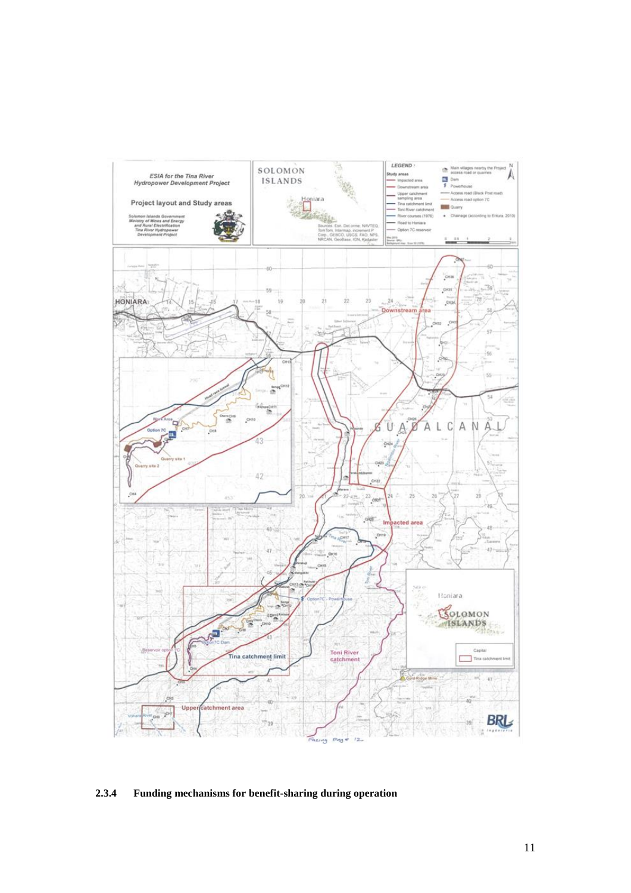

# **2.3.4 Funding mechanisms for benefit-sharing during operation**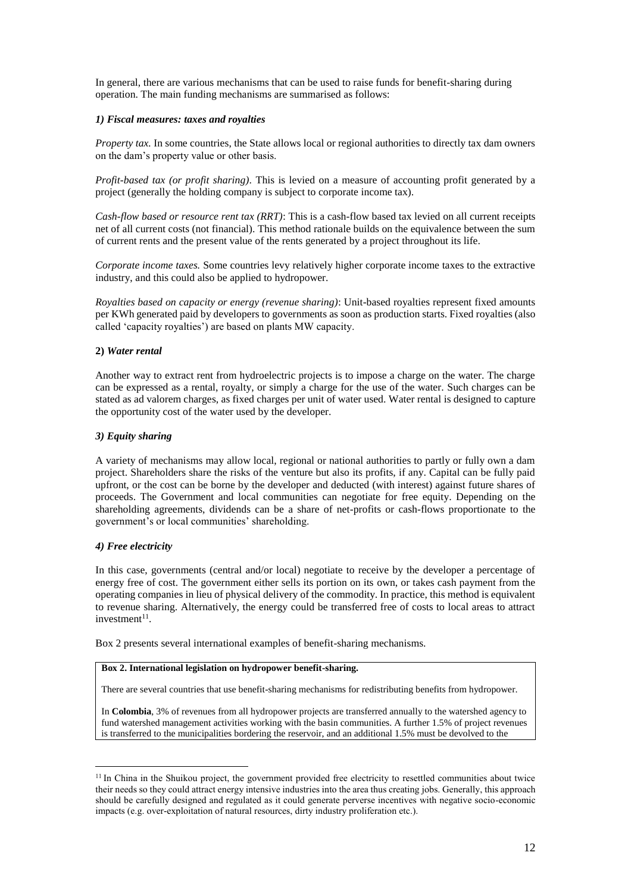In general, there are various mechanisms that can be used to raise funds for benefit-sharing during operation. The main funding mechanisms are summarised as follows:

# *1) Fiscal measures: taxes and royalties*

*Property tax.* In some countries, the State allows local or regional authorities to directly tax dam owners on the dam's property value or other basis.

*Profit-based tax (or profit sharing)*. This is levied on a measure of accounting profit generated by a project (generally the holding company is subject to corporate income tax).

*Cash-flow based or resource rent tax (RRT)*: This is a cash-flow based tax levied on all current receipts net of all current costs (not financial). This method rationale builds on the equivalence between the sum of current rents and the present value of the rents generated by a project throughout its life.

*Corporate income taxes.* Some countries levy relatively higher corporate income taxes to the extractive industry, and this could also be applied to hydropower.

*Royalties based on capacity or energy (revenue sharing)*: Unit-based royalties represent fixed amounts per KWh generated paid by developers to governments as soon as production starts. Fixed royalties (also called 'capacity royalties') are based on plants MW capacity.

### **2)** *Water rental*

Another way to extract rent from hydroelectric projects is to impose a charge on the water. The charge can be expressed as a rental, royalty, or simply a charge for the use of the water. Such charges can be stated as ad valorem charges, as fixed charges per unit of water used. Water rental is designed to capture the opportunity cost of the water used by the developer.

### *3) Equity sharing*

A variety of mechanisms may allow local, regional or national authorities to partly or fully own a dam project. Shareholders share the risks of the venture but also its profits, if any. Capital can be fully paid upfront, or the cost can be borne by the developer and deducted (with interest) against future shares of proceeds. The Government and local communities can negotiate for free equity. Depending on the shareholding agreements, dividends can be a share of net-profits or cash-flows proportionate to the government's or local communities' shareholding.

#### *4) Free electricity*

 $\overline{a}$ 

In this case, governments (central and/or local) negotiate to receive by the developer a percentage of energy free of cost. The government either sells its portion on its own, or takes cash payment from the operating companies in lieu of physical delivery of the commodity. In practice, this method is equivalent to revenue sharing. Alternatively, the energy could be transferred free of costs to local areas to attract investment<sup>11</sup>.

Box 2 presents several international examples of benefit-sharing mechanisms.

# **Box 2. International legislation on hydropower benefit-sharing.**

There are several countries that use benefit-sharing mechanisms for redistributing benefits from hydropower.

In **Colombia**, 3% of revenues from all hydropower projects are transferred annually to the watershed agency to fund watershed management activities working with the basin communities. A further 1.5% of project revenues is transferred to the municipalities bordering the reservoir, and an additional 1.5% must be devolved to the

<sup>&</sup>lt;sup>11</sup> In China in the Shuikou project, the government provided free electricity to resettled communities about twice their needs so they could attract energy intensive industries into the area thus creating jobs. Generally, this approach should be carefully designed and regulated as it could generate perverse incentives with negative socio-economic impacts (e.g. over-exploitation of natural resources, dirty industry proliferation etc.).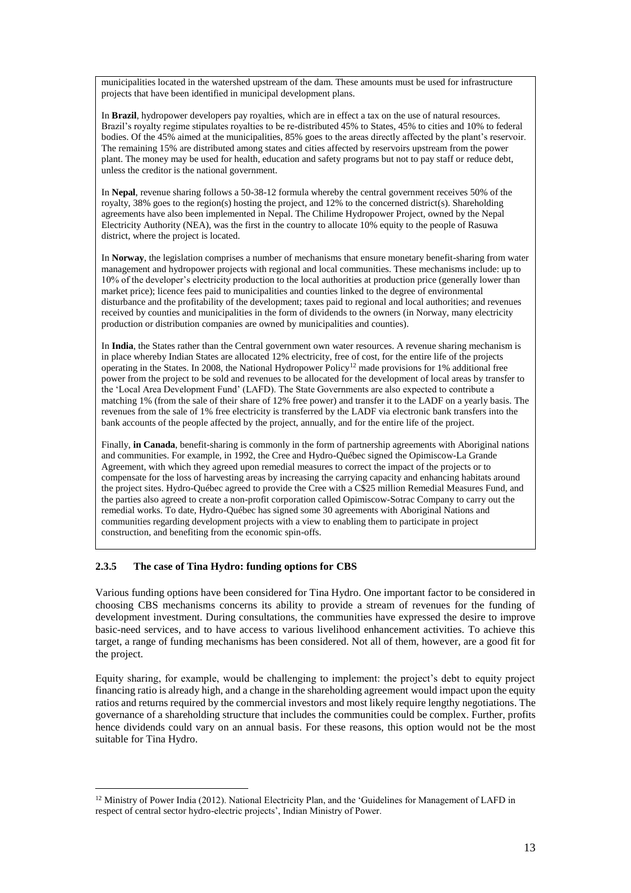municipalities located in the watershed upstream of the dam. These amounts must be used for infrastructure projects that have been identified in municipal development plans.

In **Brazil**, hydropower developers pay royalties, which are in effect a tax on the use of natural resources. Brazil's royalty regime stipulates royalties to be re-distributed 45% to States, 45% to cities and 10% to federal bodies. Of the 45% aimed at the municipalities, 85% goes to the areas directly affected by the plant's reservoir. The remaining 15% are distributed among states and cities affected by reservoirs upstream from the power plant. The money may be used for health, education and safety programs but not to pay staff or reduce debt, unless the creditor is the national government.

In **Nepal**, revenue sharing follows a 50-38-12 formula whereby the central government receives 50% of the royalty, 38% goes to the region(s) hosting the project, and 12% to the concerned district(s). Shareholding agreements have also been implemented in Nepal. The Chilime Hydropower Project, owned by the Nepal Electricity Authority (NEA), was the first in the country to allocate 10% equity to the people of Rasuwa district, where the project is located.

In **Norway**, the legislation comprises a number of mechanisms that ensure monetary benefit-sharing from water management and hydropower projects with regional and local communities. These mechanisms include: up to 10% of the developer's electricity production to the local authorities at production price (generally lower than market price); licence fees paid to municipalities and counties linked to the degree of environmental disturbance and the profitability of the development; taxes paid to regional and local authorities; and revenues received by counties and municipalities in the form of dividends to the owners (in Norway, many electricity production or distribution companies are owned by municipalities and counties).

In **India**, the States rather than the Central government own water resources. A revenue sharing mechanism is in place whereby Indian States are allocated 12% electricity, free of cost, for the entire life of the projects operating in the States. In 2008, the National Hydropower Policy<sup>12</sup> made provisions for 1% additional free power from the project to be sold and revenues to be allocated for the development of local areas by transfer to the 'Local Area Development Fund' (LAFD). The State Governments are also expected to contribute a matching 1% (from the sale of their share of 12% free power) and transfer it to the LADF on a yearly basis. The revenues from the sale of 1% free electricity is transferred by the LADF via electronic bank transfers into the bank accounts of the people affected by the project, annually, and for the entire life of the project.

Finally, **in Canada**, benefit-sharing is commonly in the form of partnership agreements with Aboriginal nations and communities. For example, in 1992, the Cree and Hydro-Québec signed the Opimiscow-La Grande Agreement, with which they agreed upon remedial measures to correct the impact of the projects or to compensate for the loss of harvesting areas by increasing the carrying capacity and enhancing habitats around the project sites. Hydro-Québec agreed to provide the Cree with a C\$25 million Remedial Measures Fund, and the parties also agreed to create a non-profit corporation called Opimiscow-Sotrac Company to carry out the remedial works. To date, Hydro-Québec has signed some 30 agreements with Aboriginal Nations and communities regarding development projects with a view to enabling them to participate in project construction, and benefiting from the economic spin-offs.

# **2.3.5 The case of Tina Hydro: funding options for CBS**

 $\overline{a}$ 

Various funding options have been considered for Tina Hydro. One important factor to be considered in choosing CBS mechanisms concerns its ability to provide a stream of revenues for the funding of development investment. During consultations, the communities have expressed the desire to improve basic-need services, and to have access to various livelihood enhancement activities. To achieve this target, a range of funding mechanisms has been considered. Not all of them, however, are a good fit for the project.

Equity sharing, for example, would be challenging to implement: the project's debt to equity project financing ratio is already high, and a change in the shareholding agreement would impact upon the equity ratios and returns required by the commercial investors and most likely require lengthy negotiations. The governance of a shareholding structure that includes the communities could be complex. Further, profits hence dividends could vary on an annual basis. For these reasons, this option would not be the most suitable for Tina Hydro.

<sup>&</sup>lt;sup>12</sup> Ministry of Power India (2012). National Electricity Plan, and the 'Guidelines for Management of LAFD in respect of central sector hydro-electric projects', Indian Ministry of Power.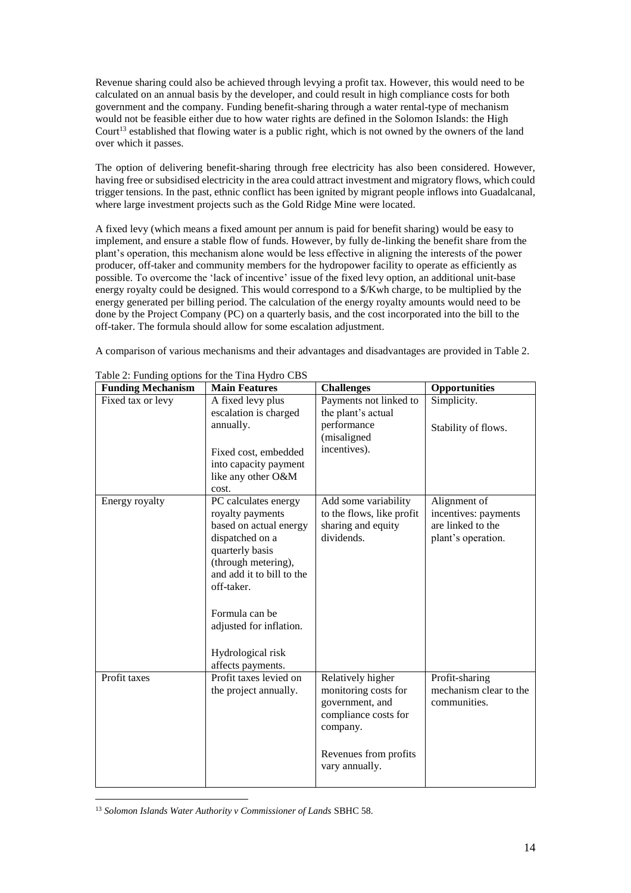Revenue sharing could also be achieved through levying a profit tax. However, this would need to be calculated on an annual basis by the developer, and could result in high compliance costs for both government and the company. Funding benefit-sharing through a water rental-type of mechanism would not be feasible either due to how water rights are defined in the Solomon Islands: the High Court<sup>13</sup> established that flowing water is a public right, which is not owned by the owners of the land over which it passes.

The option of delivering benefit-sharing through free electricity has also been considered. However, having free or subsidised electricity in the area could attract investment and migratory flows, which could trigger tensions. In the past, ethnic conflict has been ignited by migrant people inflows into Guadalcanal, where large investment projects such as the Gold Ridge Mine were located.

A fixed levy (which means a fixed amount per annum is paid for benefit sharing) would be easy to implement, and ensure a stable flow of funds. However, by fully de-linking the benefit share from the plant's operation, this mechanism alone would be less effective in aligning the interests of the power producer, off-taker and community members for the hydropower facility to operate as efficiently as possible. To overcome the 'lack of incentive' issue of the fixed levy option, an additional unit-base energy royalty could be designed. This would correspond to a \$/Kwh charge, to be multiplied by the energy generated per billing period. The calculation of the energy royalty amounts would need to be done by the Project Company (PC) on a quarterly basis, and the cost incorporated into the bill to the off-taker. The formula should allow for some escalation adjustment.

A comparison of various mechanisms and their advantages and disadvantages are provided in Table 2.

| <b>Funding Mechanism</b> | <b>Main Features</b>                                                                                                                                                                                                                                              | <b>Challenges</b>                                                                                                                           | Opportunities                                                                   |
|--------------------------|-------------------------------------------------------------------------------------------------------------------------------------------------------------------------------------------------------------------------------------------------------------------|---------------------------------------------------------------------------------------------------------------------------------------------|---------------------------------------------------------------------------------|
| Fixed tax or levy        | A fixed levy plus<br>escalation is charged                                                                                                                                                                                                                        | Payments not linked to<br>the plant's actual                                                                                                | Simplicity.                                                                     |
|                          | annually.                                                                                                                                                                                                                                                         | performance<br>(misaligned                                                                                                                  | Stability of flows.                                                             |
|                          | Fixed cost, embedded<br>into capacity payment<br>like any other O&M<br>cost.                                                                                                                                                                                      | incentives).                                                                                                                                |                                                                                 |
| Energy royalty           | PC calculates energy<br>royalty payments<br>based on actual energy<br>dispatched on a<br>quarterly basis<br>(through metering),<br>and add it to bill to the<br>off-taker.<br>Formula can be<br>adjusted for inflation.<br>Hydrological risk<br>affects payments. | Add some variability<br>to the flows, like profit<br>sharing and equity<br>dividends.                                                       | Alignment of<br>incentives: payments<br>are linked to the<br>plant's operation. |
| Profit taxes             | Profit taxes levied on<br>the project annually.                                                                                                                                                                                                                   | Relatively higher<br>monitoring costs for<br>government, and<br>compliance costs for<br>company.<br>Revenues from profits<br>vary annually. | Profit-sharing<br>mechanism clear to the<br>communities.                        |

Table 2: Funding options for the Tina Hydro CBS

 $\overline{a}$ <sup>13</sup> Solomon Islands Water Authority v Commissioner of Lands SBHC 58.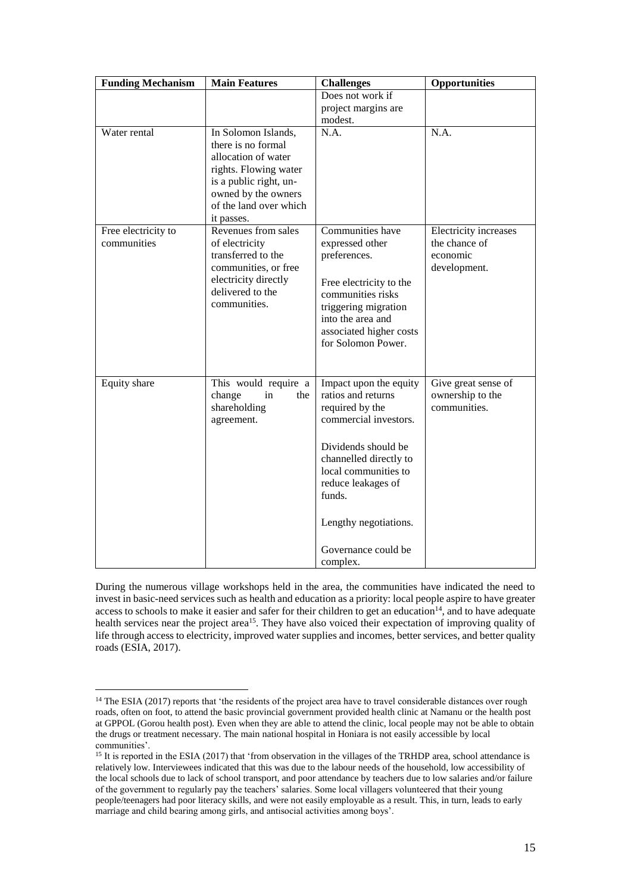| <b>Funding Mechanism</b> | <b>Main Features</b>                          | <b>Challenges</b>            | Opportunities         |
|--------------------------|-----------------------------------------------|------------------------------|-----------------------|
|                          |                                               | Does not work if             |                       |
|                          |                                               | project margins are          |                       |
|                          |                                               | modest.                      |                       |
| Water rental             | In Solomon Islands,                           | N.A.                         | N.A.                  |
|                          | there is no formal                            |                              |                       |
|                          | allocation of water                           |                              |                       |
|                          | rights. Flowing water                         |                              |                       |
|                          | is a public right, un-                        |                              |                       |
|                          | owned by the owners<br>of the land over which |                              |                       |
|                          | it passes.                                    |                              |                       |
| Free electricity to      | Revenues from sales                           | Communities have             | Electricity increases |
| communities              | of electricity                                | expressed other              | the chance of         |
|                          | transferred to the                            | preferences.                 | economic              |
|                          | communities, or free                          |                              | development.          |
|                          | electricity directly                          | Free electricity to the      |                       |
|                          | delivered to the                              | communities risks            |                       |
|                          | communities.                                  | triggering migration         |                       |
|                          |                                               | into the area and            |                       |
|                          |                                               | associated higher costs      |                       |
|                          |                                               | for Solomon Power.           |                       |
|                          |                                               |                              |                       |
|                          |                                               |                              |                       |
| Equity share             | This would require a                          | Impact upon the equity       | Give great sense of   |
|                          | in<br>change<br>the                           | ratios and returns           | ownership to the      |
|                          | shareholding                                  | required by the              | communities.          |
|                          | agreement.                                    | commercial investors.        |                       |
|                          |                                               |                              |                       |
|                          |                                               | Dividends should be          |                       |
|                          |                                               | channelled directly to       |                       |
|                          |                                               | local communities to         |                       |
|                          |                                               | reduce leakages of<br>funds. |                       |
|                          |                                               |                              |                       |
|                          |                                               | Lengthy negotiations.        |                       |
|                          |                                               | Governance could be          |                       |
|                          |                                               | complex.                     |                       |

During the numerous village workshops held in the area, the communities have indicated the need to invest in basic-need services such as health and education as a priority: local people aspire to have greater access to schools to make it easier and safer for their children to get an education<sup>14</sup>, and to have adequate health services near the project area<sup>15</sup>. They have also voiced their expectation of improving quality of life through access to electricity, improved water supplies and incomes, better services, and better quality roads (ESIA, 2017).

<sup>&</sup>lt;sup>14</sup> The ESIA (2017) reports that 'the residents of the project area have to travel considerable distances over rough roads, often on foot, to attend the basic provincial government provided health clinic at Namanu or the health post at GPPOL (Gorou health post). Even when they are able to attend the clinic, local people may not be able to obtain the drugs or treatment necessary. The main national hospital in Honiara is not easily accessible by local communities'.

<sup>&</sup>lt;sup>15</sup> It is reported in the ESIA (2017) that 'from observation in the villages of the TRHDP area, school attendance is relatively low. Interviewees indicated that this was due to the labour needs of the household, low accessibility of the local schools due to lack of school transport, and poor attendance by teachers due to low salaries and/or failure of the government to regularly pay the teachers' salaries. Some local villagers volunteered that their young people/teenagers had poor literacy skills, and were not easily employable as a result. This, in turn, leads to early marriage and child bearing among girls, and antisocial activities among boys'.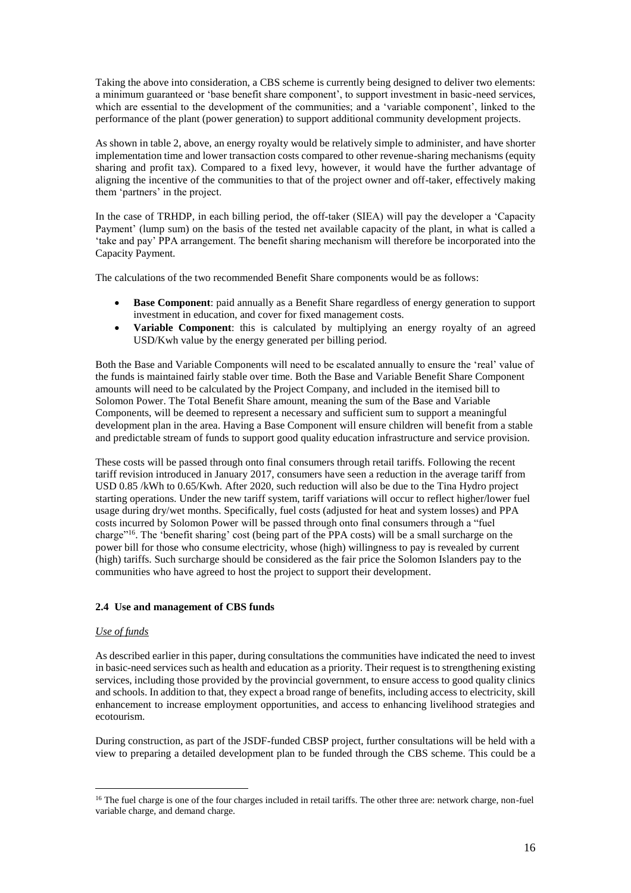Taking the above into consideration, a CBS scheme is currently being designed to deliver two elements: a minimum guaranteed or 'base benefit share component', to support investment in basic-need services, which are essential to the development of the communities; and a 'variable component', linked to the performance of the plant (power generation) to support additional community development projects.

As shown in table 2, above, an energy royalty would be relatively simple to administer, and have shorter implementation time and lower transaction costs compared to other revenue-sharing mechanisms (equity sharing and profit tax). Compared to a fixed levy, however, it would have the further advantage of aligning the incentive of the communities to that of the project owner and off-taker, effectively making them 'partners' in the project.

In the case of TRHDP, in each billing period, the off-taker (SIEA) will pay the developer a 'Capacity Payment' (lump sum) on the basis of the tested net available capacity of the plant, in what is called a 'take and pay' PPA arrangement. The benefit sharing mechanism will therefore be incorporated into the Capacity Payment.

The calculations of the two recommended Benefit Share components would be as follows:

- **Base Component**: paid annually as a Benefit Share regardless of energy generation to support investment in education, and cover for fixed management costs.
- **Variable Component**: this is calculated by multiplying an energy royalty of an agreed USD/Kwh value by the energy generated per billing period.

Both the Base and Variable Components will need to be escalated annually to ensure the 'real' value of the funds is maintained fairly stable over time. Both the Base and Variable Benefit Share Component amounts will need to be calculated by the Project Company, and included in the itemised bill to Solomon Power. The Total Benefit Share amount, meaning the sum of the Base and Variable Components, will be deemed to represent a necessary and sufficient sum to support a meaningful development plan in the area. Having a Base Component will ensure children will benefit from a stable and predictable stream of funds to support good quality education infrastructure and service provision.

These costs will be passed through onto final consumers through retail tariffs. Following the recent tariff revision introduced in January 2017, consumers have seen a reduction in the average tariff from USD 0.85 /kWh to 0.65/Kwh. After 2020, such reduction will also be due to the Tina Hydro project starting operations. Under the new tariff system, tariff variations will occur to reflect higher/lower fuel usage during dry/wet months. Specifically, fuel costs (adjusted for heat and system losses) and PPA costs incurred by Solomon Power will be passed through onto final consumers through a "fuel charge"<sup>16</sup>. The 'benefit sharing' cost (being part of the PPA costs) will be a small surcharge on the power bill for those who consume electricity, whose (high) willingness to pay is revealed by current (high) tariffs. Such surcharge should be considered as the fair price the Solomon Islanders pay to the communities who have agreed to host the project to support their development.

# **2.4 Use and management of CBS funds**

## *Use of funds*

 $\overline{a}$ 

As described earlier in this paper, during consultations the communities have indicated the need to invest in basic-need services such as health and education as a priority. Their request is to strengthening existing services, including those provided by the provincial government, to ensure access to good quality clinics and schools. In addition to that, they expect a broad range of benefits, including access to electricity, skill enhancement to increase employment opportunities, and access to enhancing livelihood strategies and ecotourism.

During construction, as part of the JSDF-funded CBSP project, further consultations will be held with a view to preparing a detailed development plan to be funded through the CBS scheme. This could be a

<sup>&</sup>lt;sup>16</sup> The fuel charge is one of the four charges included in retail tariffs. The other three are: network charge, non-fuel variable charge, and demand charge.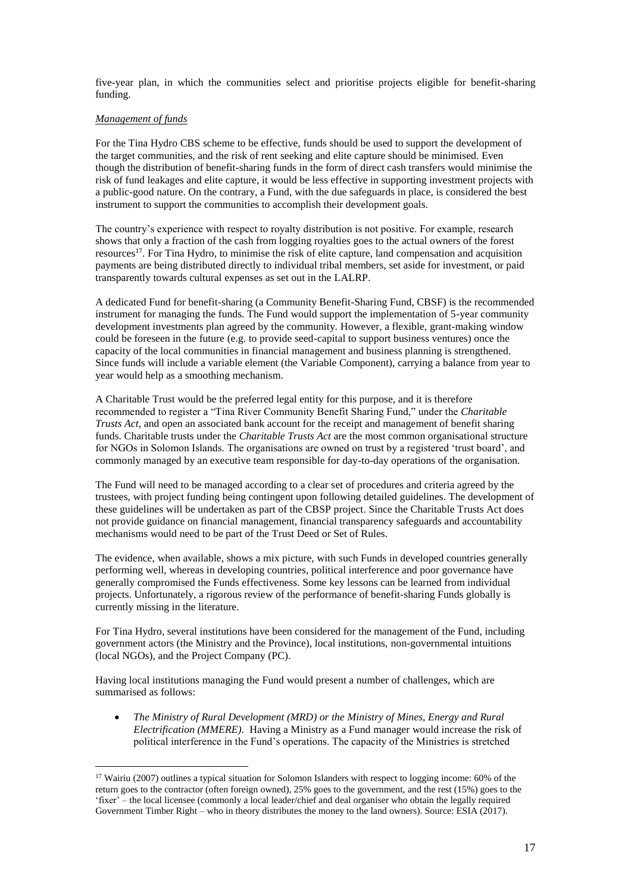five-year plan, in which the communities select and prioritise projects eligible for benefit-sharing funding.

## *Management of funds*

 $\overline{a}$ 

For the Tina Hydro CBS scheme to be effective, funds should be used to support the development of the target communities, and the risk of rent seeking and elite capture should be minimised. Even though the distribution of benefit-sharing funds in the form of direct cash transfers would minimise the risk of fund leakages and elite capture, it would be less effective in supporting investment projects with a public-good nature. On the contrary, a Fund, with the due safeguards in place, is considered the best instrument to support the communities to accomplish their development goals.

The country's experience with respect to royalty distribution is not positive. For example, research shows that only a fraction of the cash from logging royalties goes to the actual owners of the forest resources<sup>17</sup>. For Tina Hydro, to minimise the risk of elite capture, land compensation and acquisition payments are being distributed directly to individual tribal members, set aside for investment, or paid transparently towards cultural expenses as set out in the LALRP.

A dedicated Fund for benefit-sharing (a Community Benefit-Sharing Fund, CBSF) is the recommended instrument for managing the funds. The Fund would support the implementation of 5-year community development investments plan agreed by the community. However, a flexible, grant-making window could be foreseen in the future (e.g. to provide seed-capital to support business ventures) once the capacity of the local communities in financial management and business planning is strengthened. Since funds will include a variable element (the Variable Component), carrying a balance from year to year would help as a smoothing mechanism.

A Charitable Trust would be the preferred legal entity for this purpose, and it is therefore recommended to register a "Tina River Community Benefit Sharing Fund," under the *Charitable Trusts Act,* and open an associated bank account for the receipt and management of benefit sharing funds. Charitable trusts under the *Charitable Trusts Act* are the most common organisational structure for NGOs in Solomon Islands. The organisations are owned on trust by a registered 'trust board', and commonly managed by an executive team responsible for day-to-day operations of the organisation.

The Fund will need to be managed according to a clear set of procedures and criteria agreed by the trustees, with project funding being contingent upon following detailed guidelines. The development of these guidelines will be undertaken as part of the CBSP project. Since the Charitable Trusts Act does not provide guidance on financial management, financial transparency safeguards and accountability mechanisms would need to be part of the Trust Deed or Set of Rules.

The evidence, when available, shows a mix picture, with such Funds in developed countries generally performing well, whereas in developing countries, political interference and poor governance have generally compromised the Funds effectiveness. Some key lessons can be learned from individual projects. Unfortunately, a rigorous review of the performance of benefit-sharing Funds globally is currently missing in the literature.

For Tina Hydro, several institutions have been considered for the management of the Fund, including government actors (the Ministry and the Province), local institutions, non-governmental intuitions (local NGOs), and the Project Company (PC).

Having local institutions managing the Fund would present a number of challenges, which are summarised as follows:

 *The Ministry of Rural Development (MRD) or the Ministry of Mines, Energy and Rural Electrification (MMERE).* Having a Ministry as a Fund manager would increase the risk of political interference in the Fund's operations. The capacity of the Ministries is stretched

<sup>17</sup> Wairiu (2007) outlines a typical situation for Solomon Islanders with respect to logging income: 60% of the return goes to the contractor (often foreign owned), 25% goes to the government, and the rest (15%) goes to the 'fixer' – the local licensee (commonly a local leader/chief and deal organiser who obtain the legally required Government Timber Right – who in theory distributes the money to the land owners). Source: ESIA (2017).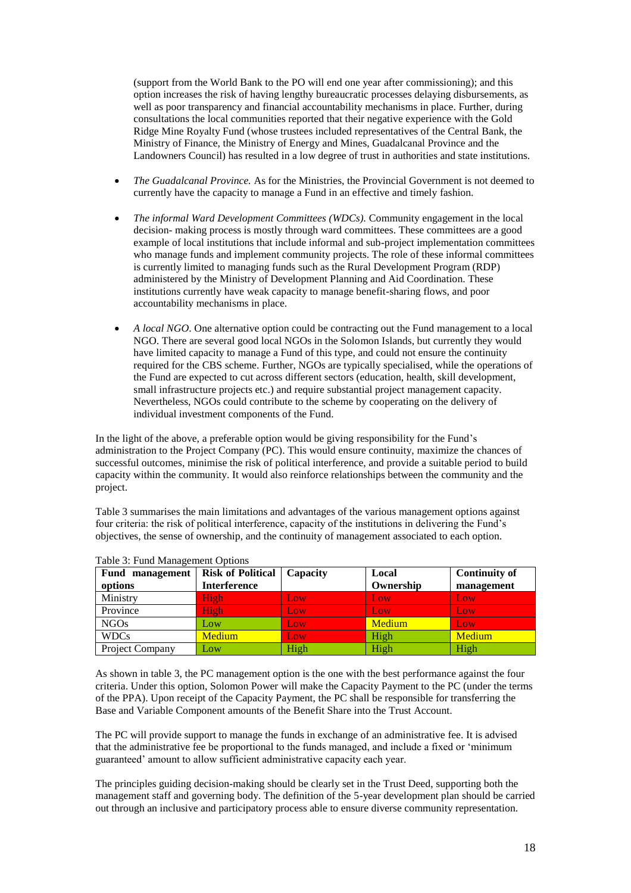(support from the World Bank to the PO will end one year after commissioning); and this option increases the risk of having lengthy bureaucratic processes delaying disbursements, as well as poor transparency and financial accountability mechanisms in place. Further, during consultations the local communities reported that their negative experience with the Gold Ridge Mine Royalty Fund (whose trustees included representatives of the Central Bank, the Ministry of Finance, the Ministry of Energy and Mines, Guadalcanal Province and the Landowners Council) has resulted in a low degree of trust in authorities and state institutions.

- *The Guadalcanal Province.* As for the Ministries, the Provincial Government is not deemed to currently have the capacity to manage a Fund in an effective and timely fashion.
- *The informal Ward Development Committees (WDCs).* Community engagement in the local decision- making process is mostly through ward committees. These committees are a good example of local institutions that include informal and sub-project implementation committees who manage funds and implement community projects. The role of these informal committees is currently limited to managing funds such as the Rural Development Program (RDP) administered by the Ministry of Development Planning and Aid Coordination. These institutions currently have weak capacity to manage benefit-sharing flows, and poor accountability mechanisms in place.
- *A local NGO*. One alternative option could be contracting out the Fund management to a local NGO. There are several good local NGOs in the Solomon Islands, but currently they would have limited capacity to manage a Fund of this type, and could not ensure the continuity required for the CBS scheme. Further, NGOs are typically specialised, while the operations of the Fund are expected to cut across different sectors (education, health, skill development, small infrastructure projects etc.) and require substantial project management capacity. Nevertheless, NGOs could contribute to the scheme by cooperating on the delivery of individual investment components of the Fund.

In the light of the above, a preferable option would be giving responsibility for the Fund's administration to the Project Company (PC). This would ensure continuity, maximize the chances of successful outcomes, minimise the risk of political interference, and provide a suitable period to build capacity within the community. It would also reinforce relationships between the community and the project.

Table 3 summarises the main limitations and advantages of the various management options against four criteria: the risk of political interference, capacity of the institutions in delivering the Fund's objectives, the sense of ownership, and the continuity of management associated to each option.

| Fund management | <b>Risk of Political</b> | Capacity | Local     | <b>Continuity of</b> |
|-----------------|--------------------------|----------|-----------|----------------------|
| options         | Interference             |          | Ownership | management           |
| Ministry        | High                     | Low      | Low       | Low                  |
| Province        | High                     | Low      | Low       | Low                  |
| <b>NGOs</b>     | Low                      | Low      | Medium    | Low                  |
| <b>WDCs</b>     | <b>Medium</b>            | Low      | High      | Medium               |
| Project Company | Low                      | High     | High      | High                 |

# Table 3: Fund Management Options

As shown in table 3, the PC management option is the one with the best performance against the four criteria. Under this option, Solomon Power will make the Capacity Payment to the PC (under the terms of the PPA). Upon receipt of the Capacity Payment, the PC shall be responsible for transferring the Base and Variable Component amounts of the Benefit Share into the Trust Account.

The PC will provide support to manage the funds in exchange of an administrative fee. It is advised that the administrative fee be proportional to the funds managed, and include a fixed or 'minimum guaranteed' amount to allow sufficient administrative capacity each year.

The principles guiding decision-making should be clearly set in the Trust Deed, supporting both the management staff and governing body. The definition of the 5-year development plan should be carried out through an inclusive and participatory process able to ensure diverse community representation.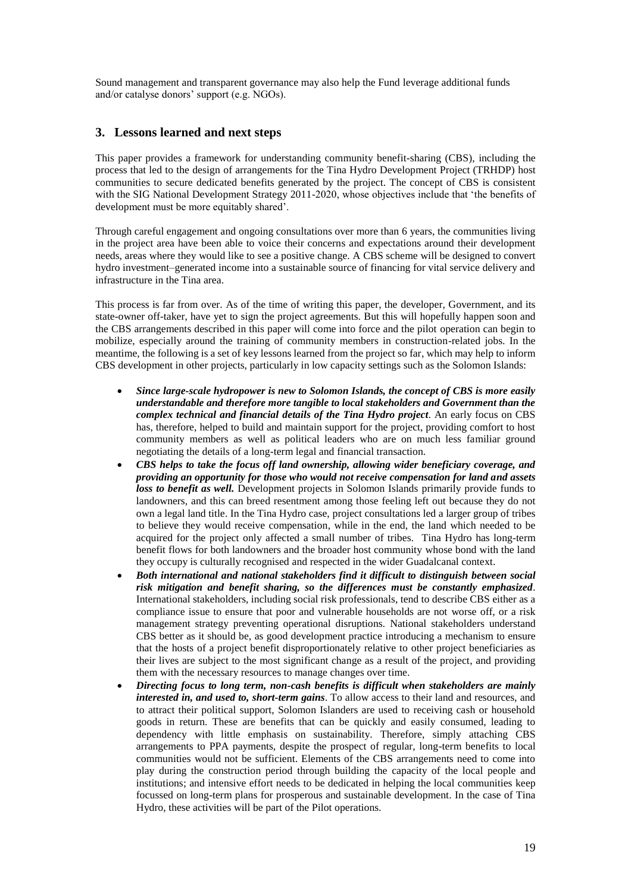Sound management and transparent governance may also help the Fund leverage additional funds and/or catalyse donors' support (e.g. NGOs).

# **3. Lessons learned and next steps**

This paper provides a framework for understanding community benefit-sharing (CBS), including the process that led to the design of arrangements for the Tina Hydro Development Project (TRHDP) host communities to secure dedicated benefits generated by the project. The concept of CBS is consistent with the SIG National Development Strategy 2011-2020, whose objectives include that 'the benefits of development must be more equitably shared'.

Through careful engagement and ongoing consultations over more than 6 years, the communities living in the project area have been able to voice their concerns and expectations around their development needs, areas where they would like to see a positive change. A CBS scheme will be designed to convert hydro investment–generated income into a sustainable source of financing for vital service delivery and infrastructure in the Tina area.

This process is far from over. As of the time of writing this paper, the developer, Government, and its state-owner off-taker, have yet to sign the project agreements. But this will hopefully happen soon and the CBS arrangements described in this paper will come into force and the pilot operation can begin to mobilize, especially around the training of community members in construction-related jobs. In the meantime, the following is a set of key lessons learned from the project so far, which may help to inform CBS development in other projects, particularly in low capacity settings such as the Solomon Islands:

- *Since large-scale hydropower is new to Solomon Islands, the concept of CBS is more easily understandable and therefore more tangible to local stakeholders and Government than the complex technical and financial details of the Tina Hydro project*. An early focus on CBS has, therefore, helped to build and maintain support for the project, providing comfort to host community members as well as political leaders who are on much less familiar ground negotiating the details of a long-term legal and financial transaction.
- *CBS helps to take the focus off land ownership, allowing wider beneficiary coverage, and providing an opportunity for those who would not receive compensation for land and assets loss to benefit as well.* Development projects in Solomon Islands primarily provide funds to landowners, and this can breed resentment among those feeling left out because they do not own a legal land title. In the Tina Hydro case, project consultations led a larger group of tribes to believe they would receive compensation, while in the end, the land which needed to be acquired for the project only affected a small number of tribes. Tina Hydro has long-term benefit flows for both landowners and the broader host community whose bond with the land they occupy is culturally recognised and respected in the wider Guadalcanal context.
- *Both international and national stakeholders find it difficult to distinguish between social risk mitigation and benefit sharing, so the differences must be constantly emphasized*. International stakeholders, including social risk professionals, tend to describe CBS either as a compliance issue to ensure that poor and vulnerable households are not worse off, or a risk management strategy preventing operational disruptions. National stakeholders understand CBS better as it should be, as good development practice introducing a mechanism to ensure that the hosts of a project benefit disproportionately relative to other project beneficiaries as their lives are subject to the most significant change as a result of the project, and providing them with the necessary resources to manage changes over time.
- *Directing focus to long term, non-cash benefits is difficult when stakeholders are mainly interested in, and used to, short-term gains*. To allow access to their land and resources, and to attract their political support, Solomon Islanders are used to receiving cash or household goods in return. These are benefits that can be quickly and easily consumed, leading to dependency with little emphasis on sustainability. Therefore, simply attaching CBS arrangements to PPA payments, despite the prospect of regular, long-term benefits to local communities would not be sufficient. Elements of the CBS arrangements need to come into play during the construction period through building the capacity of the local people and institutions; and intensive effort needs to be dedicated in helping the local communities keep focussed on long-term plans for prosperous and sustainable development. In the case of Tina Hydro, these activities will be part of the Pilot operations.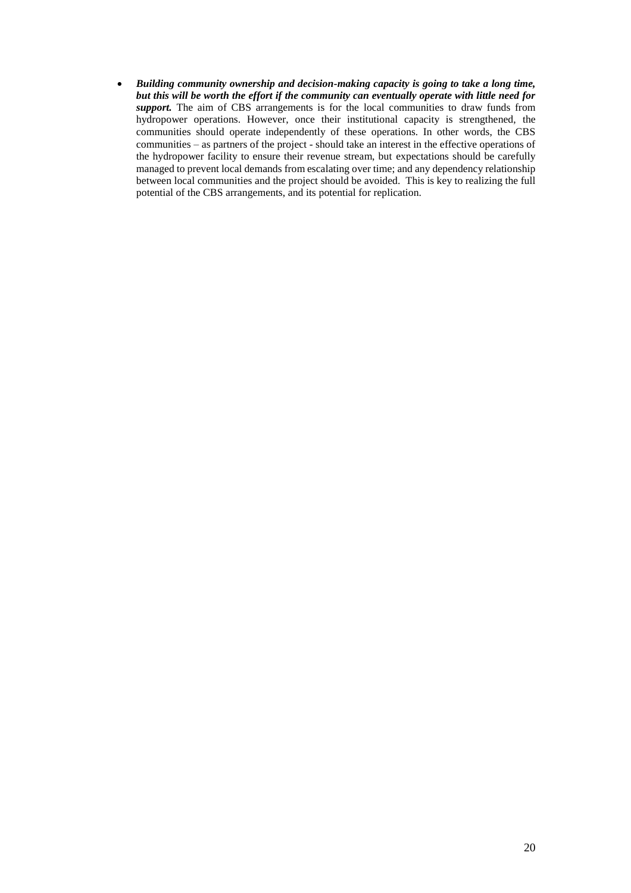*Building community ownership and decision-making capacity is going to take a long time, but this will be worth the effort if the community can eventually operate with little need for support.* The aim of CBS arrangements is for the local communities to draw funds from hydropower operations. However, once their institutional capacity is strengthened, the communities should operate independently of these operations. In other words, the CBS communities – as partners of the project - should take an interest in the effective operations of the hydropower facility to ensure their revenue stream, but expectations should be carefully managed to prevent local demands from escalating over time; and any dependency relationship between local communities and the project should be avoided. This is key to realizing the full potential of the CBS arrangements, and its potential for replication.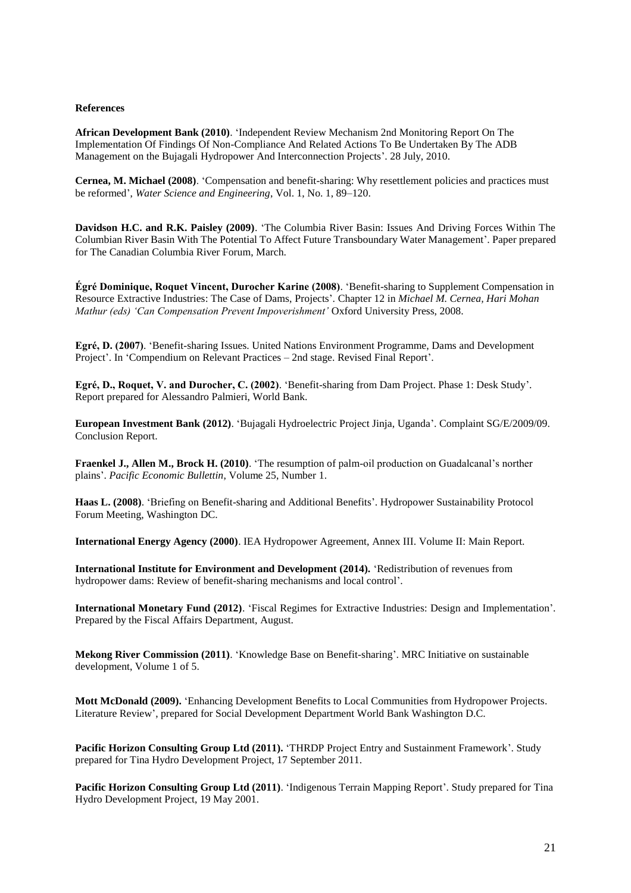### **References**

**African Development Bank (2010)**. 'Independent Review Mechanism 2nd Monitoring Report On The Implementation Of Findings Of Non-Compliance And Related Actions To Be Undertaken By The ADB Management on the Bujagali Hydropower And Interconnection Projects'. 28 July, 2010.

**Cernea, M. Michael (2008)**. 'Compensation and benefit-sharing: Why resettlement policies and practices must be reformed', *Water Science and Engineering*, Vol. 1, No. 1, 89–120.

**Davidson H.C. and R.K. Paisley (2009)**. 'The Columbia River Basin: Issues And Driving Forces Within The Columbian River Basin With The Potential To Affect Future Transboundary Water Management'. Paper prepared for The Canadian Columbia River Forum, March.

**Égré Dominique, Roquet Vincent, Durocher Karine (2008)**. 'Benefit-sharing to Supplement Compensation in Resource Extractive Industries: The Case of Dams, Projects'. Chapter 12 in *Michael M. Cernea, Hari Mohan Mathur (eds) 'Can Compensation Prevent Impoverishment'* Oxford University Press, 2008.

**Egré, D. (2007)**. 'Benefit-sharing Issues. United Nations Environment Programme, Dams and Development Project'. In 'Compendium on Relevant Practices – 2nd stage. Revised Final Report'.

**Egré, D., Roquet, V. and Durocher, C. (2002)**. 'Benefit-sharing from Dam Project. Phase 1: Desk Study'. Report prepared for Alessandro Palmieri, World Bank.

**European Investment Bank (2012)**. 'Bujagali Hydroelectric Project Jinja, Uganda'. Complaint SG/E/2009/09. Conclusion Report.

**Fraenkel J., Allen M., Brock H. (2010)**. 'The resumption of palm-oil production on Guadalcanal's norther plains'. *Pacific Economic Bullettin*, Volume 25, Number 1.

**Haas L. (2008)**. 'Briefing on Benefit-sharing and Additional Benefits'. Hydropower Sustainability Protocol Forum Meeting, Washington DC.

**International Energy Agency (2000)**. IEA Hydropower Agreement, Annex III. Volume II: Main Report.

**International Institute for Environment and Development (2014).** 'Redistribution of revenues from hydropower dams: Review of benefit-sharing mechanisms and local control'.

**International Monetary Fund (2012)**. 'Fiscal Regimes for Extractive Industries: Design and Implementation'. Prepared by the Fiscal Affairs Department, August.

**Mekong River Commission (2011)**. 'Knowledge Base on Benefit-sharing'. MRC Initiative on sustainable development, Volume 1 of 5.

**Mott McDonald (2009).** 'Enhancing Development Benefits to Local Communities from Hydropower Projects. Literature Review', prepared for Social Development Department World Bank Washington D.C.

**Pacific Horizon Consulting Group Ltd (2011).** 'THRDP Project Entry and Sustainment Framework'. Study prepared for Tina Hydro Development Project, 17 September 2011.

**Pacific Horizon Consulting Group Ltd (2011)**. 'Indigenous Terrain Mapping Report'. Study prepared for Tina Hydro Development Project, 19 May 2001.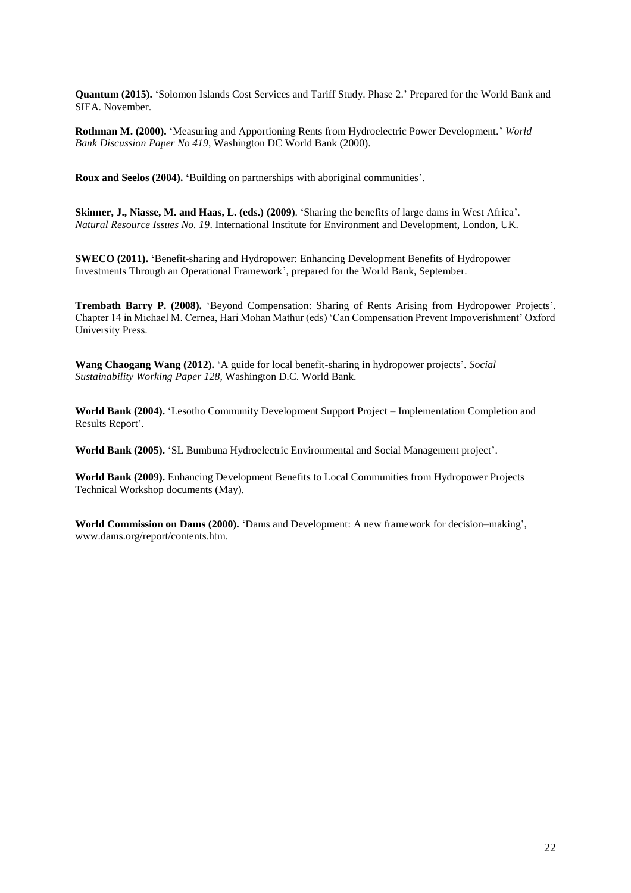**Quantum (2015).** 'Solomon Islands Cost Services and Tariff Study. Phase 2.' Prepared for the World Bank and SIEA. November.

**Rothman M. (2000).** 'Measuring and Apportioning Rents from Hydroelectric Power Development.' *World Bank Discussion Paper No 419*, Washington DC World Bank (2000).

**Roux and Seelos (2004). '**Building on partnerships with aboriginal communities'.

**Skinner, J., Niasse, M. and Haas, L. (eds.) (2009)**. 'Sharing the benefits of large dams in West Africa'. *Natural Resource Issues No. 19*. International Institute for Environment and Development, London, UK.

**SWECO (2011). '**Benefit-sharing and Hydropower: Enhancing Development Benefits of Hydropower Investments Through an Operational Framework', prepared for the World Bank, September.

**Trembath Barry P. (2008).** 'Beyond Compensation: Sharing of Rents Arising from Hydropower Projects'*.*  Chapter 14 in Michael M. Cernea, Hari Mohan Mathur (eds) 'Can Compensation Prevent Impoverishment' Oxford University Press.

**Wang Chaogang Wang (2012).** 'A guide for local benefit-sharing in hydropower projects'*. Social Sustainability Working Paper 128,* Washington D.C. World Bank.

**World Bank (2004).** 'Lesotho Community Development Support Project – Implementation Completion and Results Report'.

**World Bank (2005).** 'SL Bumbuna Hydroelectric Environmental and Social Management project'.

**World Bank (2009).** Enhancing Development Benefits to Local Communities from Hydropower Projects Technical Workshop documents (May).

**World Commission on Dams (2000).** 'Dams and Development: A new framework for decision–making', www.dams.org/report/contents.htm.